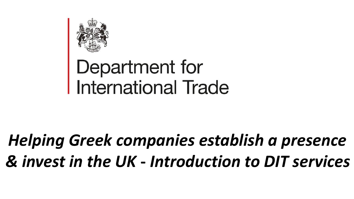

# Department for<br>International Trade

## *Helping Greek companies establish a presence & invest in the UK* **-** *Introduction to DIT services*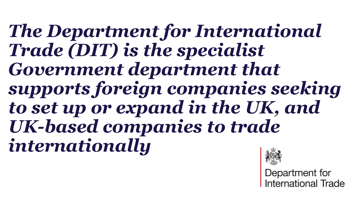*The Department for International Trade (DIT) is the specialist Government department that supports foreign companies seeking to set up or expand in the UK, and UK-based companies to trade internationally*



Department for nternational Trade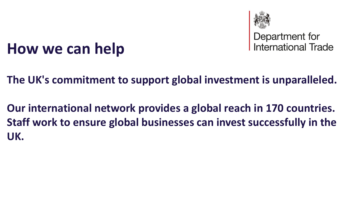

Department for<br>International Trade

## **How we can help**

**The UK's commitment to support global investment is unparalleled.**

**Our international network provides a global reach in 170 countries. Staff work to ensure global businesses can invest successfully in the UK.**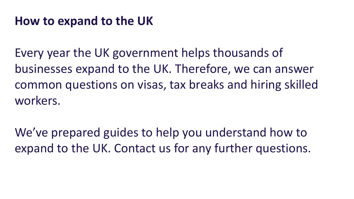#### **How to expand to the UK**

Every year the UK government helps thousands of businesses expand to the UK. Therefore, we can answer common questions on visas, tax breaks and hiring skilled workers.

We've prepared guides to help you understand how to expand to the UK. Contact us for any further questions.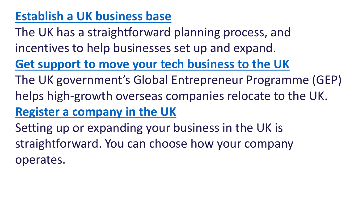### **[Establish a UK business base](https://www.great.gov.uk/international/content/investment/how-we-can-help/establish-a-base-for-business-in-the-uk/)**

The UK has a straightforward planning process, and incentives to help businesses set up and expand.

**[Get support to move your tech business to the UK](https://www.great.gov.uk/international/content/investment/how-we-can-help/global-entrepreneur-program/)**

The UK government's Global Entrepreneur Programme (GEP) helps high-growth overseas companies relocate to the UK. **[Register a company in the UK](https://www.great.gov.uk/international/content/investment/how-we-can-help/register-a-company-in-the-uk/)**

Setting up or expanding your business in the UK is straightforward. You can choose how your company operates.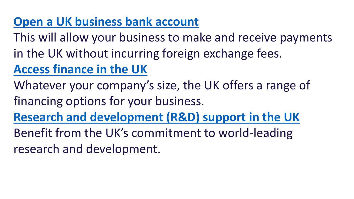#### **[Open a UK business bank account](https://www.great.gov.uk/international/content/investment/how-we-can-help/open-a-uk-business-bank-account/)**

This will allow your business to make and receive payments in the UK without incurring foreign exchange fees. **[Access finance in the UK](https://www.great.gov.uk/international/content/investment/how-we-can-help/access-finance-in-the-uk/)**

Whatever your company's size, the UK offers a range of financing options for your business.

**[Research and development \(R&D\) support in the UK](https://www.great.gov.uk/international/content/investment/how-we-can-help/research-and-development-rd-support-in-the-uk/)**

Benefit from the UK's commitment to world-leading research and development.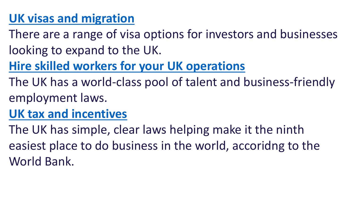### **[UK visas and migration](https://www.great.gov.uk/international/content/investment/how-we-can-help/uk-visas-and-migration/)**

- There are a range of visa options for investors and businesses looking to expand to the UK.
- **[Hire skilled workers for your UK operations](https://www.great.gov.uk/international/content/investment/how-we-can-help/hire-skilled-workers-for-your-uk-operations/)**
- The UK has a world-class pool of talent and business-friendly employment laws.
- **[UK tax and incentives](https://www.great.gov.uk/international/content/investment/how-we-can-help/uk-tax-and-incentives/)**
- The UK has simple, clear laws helping make it the ninth easiest place to do business in the world, accoridng to the World Bank.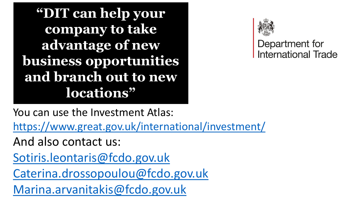**"DIT can help your company to take advantage of new business opportunities and branch out to new locations"**



#### Department for **International Trade**

You can use the Investment Atlas:

<https://www.great.gov.uk/international/investment/>

And also contact us:

[Sotiris.leontaris@fcdo.gov.uk](mailto:Sotiris.leontaris@fcdo.gov.uk)

[Caterina.drossopoulou@fcdo.gov.uk](mailto:Caterina.drossopoulou@fcdo.gov.uk)

[Marina.arvanitakis@fcdo.gov.uk](mailto:Marina.arvanitakis@fcdo.gov.uk)